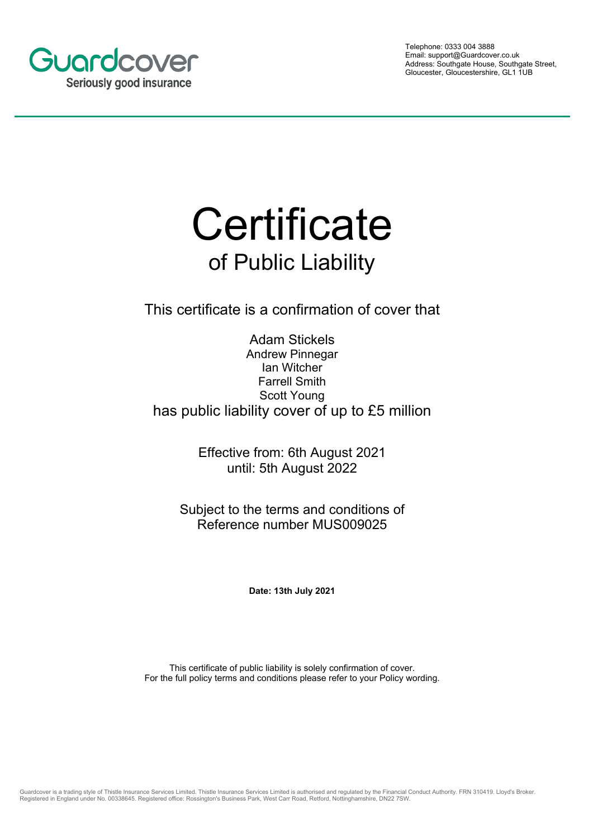

Telephone: 0333 004 3888 Email: support@Guardcover.co.uk Address: Southgate House, Southgate Street, Gloucester, Gloucestershire, GL1 1UB

## **Certificate** of Public Liability

This certificate is a confirmation of cover that

Adam Stickels Andrew Pinnegar Ian Witcher Farrell Smith Scott Young has public liability cover of up to £5 million

> Effective from: 6th August 2021 until: 5th August 2022

Subject to the terms and conditions of Reference number MUS009025

**Date: 13th July 2021**

This certificate of public liability is solely confirmation of cover. For the full policy terms and conditions please refer to your Policy wording.